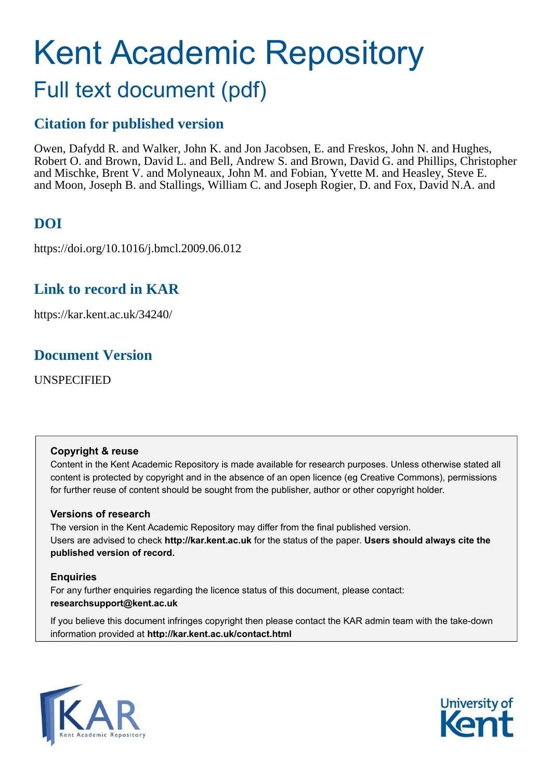# <span id="page-0-0"></span>Kent Academic Repository

# Full text document (pdf)

# **Citation for published version**

Owen, Dafydd R. and Walker, John K. and Jon Jacobsen, E. and Freskos, John N. and Hughes, Robert O. and Brown, David L. and Bell, Andrew S. and Brown, David G. and Phillips, Christopher and Mischke, Brent V. and Molyneaux, John M. and Fobian, Yvette M. and Heasley, Steve E. and Moon, Joseph B. and Stallings, William C. and Joseph Rogier, D. and Fox, David N.A. and

# **DOI**

https://doi.org/10.1016/j.bmcl.2009.06.012

# **Link to record in KAR**

https://kar.kent.ac.uk/34240/

# **Document Version**

UNSPECIFIED

#### **Copyright & reuse**

Content in the Kent Academic Repository is made available for research purposes. Unless otherwise stated all content is protected by copyright and in the absence of an open licence (eg Creative Commons), permissions for further reuse of content should be sought from the publisher, author or other copyright holder.

#### **Versions of research**

The version in the Kent Academic Repository may differ from the final published version. Users are advised to check **http://kar.kent.ac.uk** for the status of the paper. **Users should always cite the published version of record.**

#### **Enquiries**

For any further enquiries regarding the licence status of this document, please contact: **researchsupport@kent.ac.uk**

If you believe this document infringes copyright then please contact the KAR admin team with the take-down information provided at **http://kar.kent.ac.uk/contact.html**



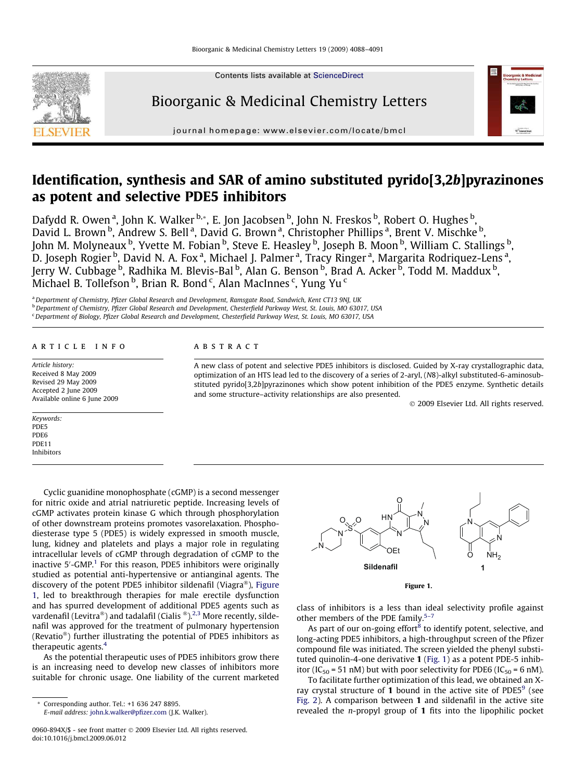<span id="page-1-0"></span>

Contents lists available at [ScienceDirect](http://www.sciencedirect.com/science/journal/0960894X)

### Bioorganic & Medicinal Chemistry Letters



journal homepage: [www.elsevier.com/locate/bmcl](http://www.elsevier.com/locate/bmcl)

## Identification, synthesis and SAR of amino substituted pyrido[3,2b]pyrazinones as potent and selective PDE5 inhibitors

Dafydd R. Owen <sup>a</sup>, John K. Walker <sup>b,</sup>\*, E. Jon Jacobsen <sup>b</sup>, John N. Freskos <sup>b</sup>, Robert O. Hughes <sup>b</sup>, David L. Brown <sup>b</sup>, Andrew S. Bell <sup>a</sup>, David G. Brown <sup>a</sup>, Christopher Phillips <sup>a</sup>, Brent V. Mischke <sup>b</sup>, John M. Molyneaux <sup>b</sup>, Yvette M. Fobian <sup>b</sup>, Steve E. Heasley <sup>b</sup>, Joseph B. Moon <sup>b</sup>, William C. Stallings <sup>b</sup>, D. Joseph Rogier <sup>b</sup>, David N. A. Fox <sup>a</sup>, Michael J. Palmer <sup>a</sup>, Tracy Ringer <sup>a</sup>, Margarita Rodriquez-Lens <sup>a</sup>, Jerry W. Cubbage <sup>b</sup>, Radhika M. Blevis-Bal <sup>b</sup>, Alan G. Benson <sup>b</sup>, Brad A. Acker <sup>b</sup>, Todd M. Maddux <sup>b</sup>, Michael B. Tollefson <sup>b</sup>, Brian R. Bond <sup>c</sup>, Alan MacInnes <sup>c</sup>, Yung Yu <sup>c</sup>

a Department of Chemistry, Pfizer Global Research and Development, Ramsgate Road, Sandwich, Kent CT13 9NJ, UK

<sup>b</sup> Department of Chemistry, Pfizer Global Research and Development, Chesterfield Parkway West, St. Louis, MO 63017, USA

<sup>c</sup> Department of Biology, Pfizer Global Research and Development, Chesterfield Parkway West, St. Louis, MO 63017, USA

#### article info

Article history: Received 8 May 2009 Revised 29 May 2009 Accepted 2 June 2009 Available online 6 June 2009

Keywords: PDE5 PDE6 PDE11 Inhibitors

#### **ABSTRACT**

A new class of potent and selective PDE5 inhibitors is disclosed. Guided by X-ray crystallographic data, optimization of an HTS lead led to the discovery of a series of 2-aryl, (N8)-alkyl substituted-6-aminosubstituted pyrido[3,2b]pyrazinones which show potent inhibition of the PDE5 enzyme. Synthetic details and some structure–activity relationships are also presented.

 $©$  2009 Elsevier Ltd. All rights reserved.

Cyclic guanidine monophosphate (cGMP) is a second messenger for nitric oxide and atrial natriuretic peptide. Increasing levels of cGMP activates protein kinase G which through phosphorylation of other downstream proteins promotes vasorelaxation. Phosphodiesterase type 5 (PDE5) is widely expressed in smooth muscle, lung, kidney and platelets and plays a major role in regulating intracellular levels of cGMP through degradation of cGMP to the inactive 5'-GMP.<sup>[1](#page-3-0)</sup> For this reason, PDE5 inhibitors were originally studied as potential anti-hypertensive or antianginal agents. The discovery of the potent PDE5 inhibitor sildenafil (Viagra®), [Figure](#page-0-0) [1](#page-0-0), led to breakthrough therapies for male erectile dysfunction and has spurred development of additional PDE5 agents such as vardenafil (Levitra®) and tadalafil (Cialis ®).<sup>[2,3](#page-3-0)</sup> More recently, sildenafil was approved for the treatment of pulmonary hypertension (Revatio ) further illustrating the potential of PDE5 inhibitors as therapeutic agents.[4](#page-3-0)

As the potential therapeutic uses of PDE5 inhibitors grow there is an increasing need to develop new classes of inhibitors more suitable for chronic usage. One liability of the current marketed

\* Corresponding author. Tel.: +1 636 247 8895.



Figure 1.

class of inhibitors is a less than ideal selectivity profile against other members of the PDE family.<sup>5-7</sup>

As part of our on-going effort<sup>[8](#page-3-0)</sup> to identify potent, selective, and long-acting PDE5 inhibitors, a high-throughput screen of the Pfizer compound file was initiated. The screen yielded the phenyl substituted quinolin-4-one derivative 1 [\(Fig. 1](#page-0-0)) as a potent PDE-5 inhibitor (IC<sub>50</sub> = 51 nM) but with poor selectivity for PDE6 (IC<sub>50</sub> = 6 nM).

To facilitate further optimization of this lead, we obtained an Xray crystal structure of 1 bound in the active site of PDE5 $9$  (see Fig. 2). A comparison between 1 and sildenafil in the active site revealed the  $n$ -propyl group of 1 fits into the lipophilic pocket

E-mail address: [john.k.walker@pfizer.com](mailto:john.k.walker@pfizer.com) (J.K. Walker).

<sup>0960-894</sup>X/\$ - see front matter © 2009 Elsevier Ltd. All rights reserved. doi:10.1016/j.bmcl.2009.06.012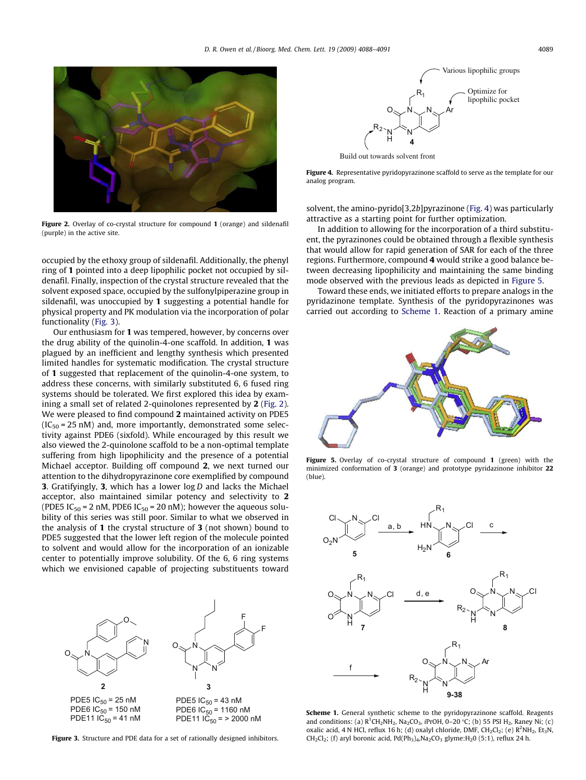<span id="page-2-0"></span>

Figure 2. Overlay of co-crystal structure for compound 1 (orange) and sildenafil (purple) in the active site.

occupied by the ethoxy group of sildenafil. Additionally, the phenyl ring of 1 pointed into a deep lipophilic pocket not occupied by sildenafil. Finally, inspection of the crystal structure revealed that the solvent exposed space, occupied by the sulfonylpiperazine group in sildenafil, was unoccupied by 1 suggesting a potential handle for physical property and PK modulation via the incorporation of polar functionality ([Fig. 3](#page-1-0)).

Our enthusiasm for 1 was tempered, however, by concerns over the drug ability of the quinolin-4-one scaffold. In addition, 1 was plagued by an inefficient and lengthy synthesis which presented limited handles for systematic modification. The crystal structure of 1 suggested that replacement of the quinolin-4-one system, to address these concerns, with similarly substituted 6, 6 fused ring systems should be tolerated. We first explored this idea by examining a small set of related 2-quinolones represented by 2 [\(Fig. 2\)](#page-1-0). We were pleased to find compound 2 maintained activity on PDE5  $(IC_{50} = 25 \text{ nM})$  and, more importantly, demonstrated some selectivity against PDE6 (sixfold). While encouraged by this result we also viewed the 2-quinolone scaffold to be a non-optimal template suffering from high lipophilicity and the presence of a potential Michael acceptor. Building off compound 2, we next turned our attention to the dihydropyrazinone core exemplified by compound **3.** Gratifyingly, **3**, which has a lower  $\log D$  and lacks the Michael acceptor, also maintained similar potency and selectivity to 2 (PDE5 IC<sub>50</sub> = 2 nM, PDE6 IC<sub>50</sub> = 20 nM); however the aqueous solubility of this series was still poor. Similar to what we observed in the analysis of 1 the crystal structure of 3 (not shown) bound to PDE5 suggested that the lower left region of the molecule pointed to solvent and would allow for the incorporation of an ionizable center to potentially improve solubility. Of the 6, 6 ring systems which we envisioned capable of projecting substituents toward



Figure 3. Structure and PDE data for a set of rationally designed inhibitors.



Build out towards solvent front



solvent, the amino-pyrido[3,2b]pyrazinone [\(Fig. 4](#page-1-0)) was particularly attractive as a starting point for further optimization.

In addition to allowing for the incorporation of a third substituent, the pyrazinones could be obtained through a flexible synthesis that would allow for rapid generation of SAR for each of the three regions. Furthermore, compound 4 would strike a good balance between decreasing lipophilicity and maintaining the same binding mode observed with the previous leads as depicted in [Figure 5](#page-1-0).

Toward these ends, we initiated efforts to prepare analogs in the pyridazinone template. Synthesis of the pyridopyrazinones was carried out according to [Scheme 1.](#page-1-0) Reaction of a primary amine



Figure 5. Overlay of co-crystal structure of compound 1 (green) with the minimized conformation of 3 (orange) and prototype pyridazinone inhibitor 22 (blue).



Scheme 1. General synthetic scheme to the pyridopyrazinone scaffold. Reagents and conditions: (a)  $R^1CH_2NH_2$ , Na<sub>2</sub>CO<sub>3</sub>, *iPrOH*, 0–20 °C; (b) 55 PSI H<sub>2</sub>, Raney Ni; (c) oxalic acid, 4 N HCl, reflux 16 h; (d) oxalyl chloride, DMF,  $CH_2Cl_2$ ; (e)  $R^2NH_2$ ,  $Et_3N$ ,  $CH_2Cl_2$ ; (f) aryl boronic acid, Pd(Ph<sub>3</sub>)<sub>4</sub>,Na<sub>2</sub>CO<sub>3</sub> glyme:H<sub>2</sub>0 (5:1), reflux 24 h.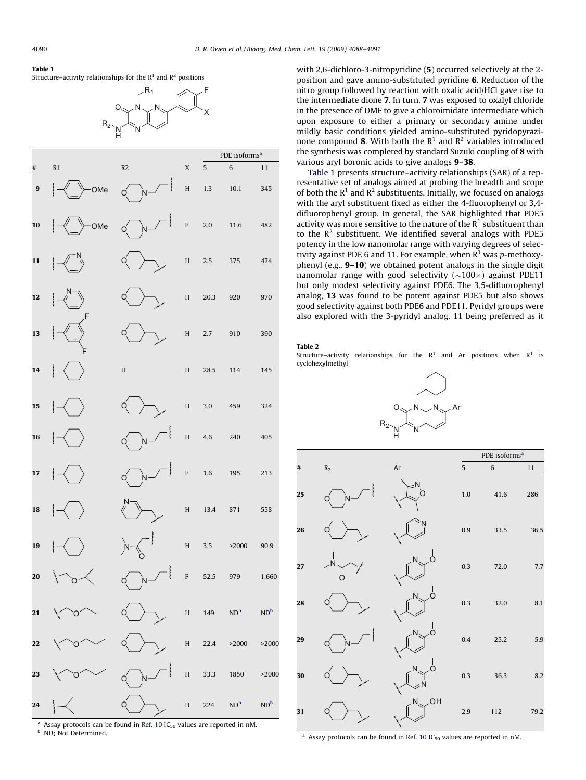#### <span id="page-3-0"></span>Table 1

Structure–activity relationships for the  $\mathsf{R}^{1}$  and  $\mathsf{R}^{2}$  positions



|                  |              |             |                           |         | PDE isoforms <sup>a</sup> |        |  |
|------------------|--------------|-------------|---------------------------|---------|---------------------------|--------|--|
| #                | R1           | R2          | $\mathsf X$               | 5       | 6                         | 11     |  |
| $\boldsymbol{9}$ | OMe          | wwwww       | $\boldsymbol{\mathsf{H}}$ | 1.3     | $10.1\,$                  | 345    |  |
| 10               | wwww<br>-OMe | wwwww       | $\mathbf F$               | $2.0\,$ | $11.6\,$                  | 482    |  |
| 11               | wwwww        |             | $\boldsymbol{\mathsf{H}}$ | $2.5\,$ | 375                       | 474    |  |
| $\mathbf{12}$    | wwwww        |             | $\boldsymbol{\mathsf{H}}$ | 20.3    | 920                       | 970    |  |
| 13               | wwww         |             | $\boldsymbol{\mathsf{H}}$ | 2.7     | 910                       | 390    |  |
| 14               | wwww         | $\mathbf H$ | $\boldsymbol{\mathsf{H}}$ | 28.5    | 114                       | 145    |  |
| 15               |              |             | $\boldsymbol{\mathrm{H}}$ | 3.0     | 459                       | 324    |  |
| 16               |              | wwww        | H                         | $4.6\,$ | 240                       | 405    |  |
| 17               |              | wwww        | F                         | $1.6\,$ | 195                       | 213    |  |
| 18               |              |             | $\boldsymbol{\mathsf{H}}$ | 13.4    | 871                       | 558    |  |
| 19               | wwww         | $\sim$      | $\boldsymbol{\mathsf{H}}$ | 3.5     | >2000                     | 90.9   |  |
| 20               |              | monon<br>O  | $\mathsf F$               | 52.5    | 979                       | 1,660  |  |
| 21               | O            |             |                           |         | H 149 $ND^b$ $ND^b$       |        |  |
| 22               |              |             |                           | H 22.4  | >2000                     | >2000  |  |
| 23               |              | wwww        |                           |         | H 33.3 1850               | >2000  |  |
| 24               | wwww         |             | H                         |         | 224 $ND^b$                | $ND^b$ |  |

<sup>a</sup> Assay protocols can be found in Ref. 10  $IC_{50}$  values are reported in nM. **b** ND; Not Determined.

with 2.6-dichloro-3-nitropyridine (5) occurred selectively at the 2position and gave amino-substituted pyridine 6. Reduction of the nitro group followed by reaction with oxalic acid/HCl gave rise to the intermediate dione 7. In turn, 7 was exposed to oxalyl chloride in the presence of DMF to give a chloroimidate intermediate which upon exposure to either a primary or secondary amine under mildly basic conditions yielded amino-substituted pyridopyrazinone compound 8. With both the  $R^1$  and  $R^2$  variables introduced the synthesis was completed by standard Suzuki coupling of 8 with various aryl boronic acids to give analogs 9–38.

[Table 1](#page-2-0) presents structure–activity relationships (SAR) of a representative set of analogs aimed at probing the breadth and scope of both the  $R<sup>1</sup>$  and  $R<sup>2</sup>$  substituents. Initially, we focused on analogs with the aryl substituent fixed as either the 4-fluorophenyl or 3,4 difluorophenyl group. In general, the SAR highlighted that PDE5 activity was more sensitive to the nature of the  $R<sup>1</sup>$  substituent than to the  $\mathbb{R}^2$  substituent. We identified several analogs with PDE5 potency in the low nanomolar range with varying degrees of selectivity against PDE 6 and 11. For example, when  $R^1$  was p-methoxyphenyl (e.g., 9–10) we obtained potent analogs in the single digit nanomolar range with good selectivity  $(\sim 100 \times)$  against PDE11 but only modest selectivity against PDE6. The 3,5-difluorophenyl analog, 13 was found to be potent against PDE5 but also shows good selectivity against both PDE6 and PDE11. Pyridyl groups were also explored with the 3-pyridyl analog, 11 being preferred as it

#### Table 2

Structure-activity relationships for the  $R<sup>1</sup>$  and Ar positions when  $R<sup>1</sup>$  is cyclohexylmethyl





<sup>a</sup> Assay protocols can be found in Ref. 10  $IC_{50}$  values are reported in nM.